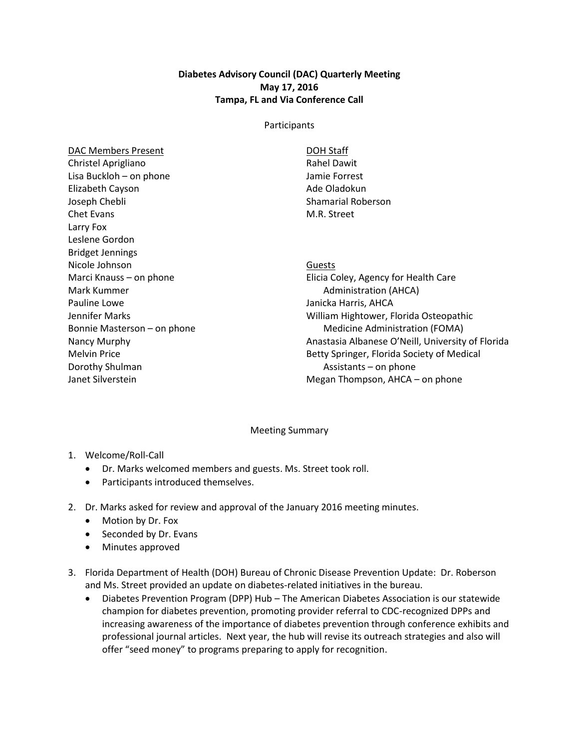## **Diabetes Advisory Council (DAC) Quarterly Meeting May 17, 2016 Tampa, FL and Via Conference Call**

## Participants

| <b>DAC Members Present</b>  | <b>DOH Staff</b>                                  |
|-----------------------------|---------------------------------------------------|
| Christel Aprigliano         | <b>Rahel Dawit</b>                                |
| Lisa Buckloh - on phone     | Jamie Forrest                                     |
| Elizabeth Cayson            | Ade Oladokun                                      |
| Joseph Chebli               | <b>Shamarial Roberson</b>                         |
| <b>Chet Evans</b>           | M.R. Street                                       |
| Larry Fox                   |                                                   |
| Leslene Gordon              |                                                   |
| <b>Bridget Jennings</b>     |                                                   |
| Nicole Johnson              | Guests                                            |
| Marci Knauss – on phone     | Elicia Coley, Agency for Health Care              |
| Mark Kummer                 | <b>Administration (AHCA)</b>                      |
| Pauline Lowe                | Janicka Harris, AHCA                              |
| Jennifer Marks              | William Hightower, Florida Osteopathic            |
| Bonnie Masterson - on phone | Medicine Administration (FOMA)                    |
| Nancy Murphy                | Anastasia Albanese O'Neill, University of Florida |
| <b>Melvin Price</b>         | Betty Springer, Florida Society of Medical        |
| Dorothy Shulman             | Assistants $-$ on phone                           |
| Janet Silverstein           | Megan Thompson, $A HCA - on$ phone                |
|                             |                                                   |

## Meeting Summary

- 1. Welcome/Roll-Call
	- Dr. Marks welcomed members and guests. Ms. Street took roll.
	- Participants introduced themselves.
- 2. Dr. Marks asked for review and approval of the January 2016 meeting minutes.
	- Motion by Dr. Fox
	- Seconded by Dr. Evans
	- Minutes approved
- 3. Florida Department of Health (DOH) Bureau of Chronic Disease Prevention Update: Dr. Roberson and Ms. Street provided an update on diabetes-related initiatives in the bureau.
	- Diabetes Prevention Program (DPP) Hub The American Diabetes Association is our statewide champion for diabetes prevention, promoting provider referral to CDC-recognized DPPs and increasing awareness of the importance of diabetes prevention through conference exhibits and professional journal articles. Next year, the hub will revise its outreach strategies and also will offer "seed money" to programs preparing to apply for recognition.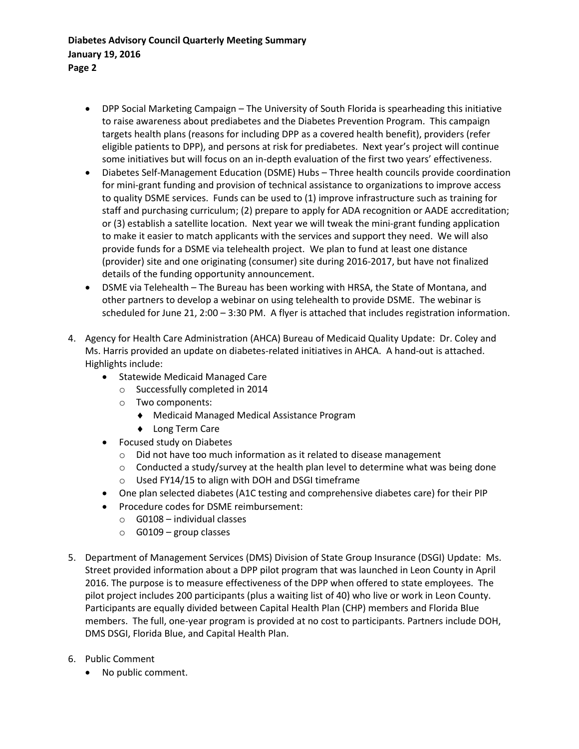- DPP Social Marketing Campaign The University of South Florida is spearheading this initiative to raise awareness about prediabetes and the Diabetes Prevention Program. This campaign targets health plans (reasons for including DPP as a covered health benefit), providers (refer eligible patients to DPP), and persons at risk for prediabetes. Next year's project will continue some initiatives but will focus on an in-depth evaluation of the first two years' effectiveness.
- Diabetes Self-Management Education (DSME) Hubs Three health councils provide coordination for mini-grant funding and provision of technical assistance to organizations to improve access to quality DSME services. Funds can be used to (1) improve infrastructure such as training for staff and purchasing curriculum; (2) prepare to apply for ADA recognition or AADE accreditation; or (3) establish a satellite location. Next year we will tweak the mini-grant funding application to make it easier to match applicants with the services and support they need. We will also provide funds for a DSME via telehealth project. We plan to fund at least one distance (provider) site and one originating (consumer) site during 2016-2017, but have not finalized details of the funding opportunity announcement.
- DSME via Telehealth The Bureau has been working with HRSA, the State of Montana, and other partners to develop a webinar on using telehealth to provide DSME. The webinar is scheduled for June 21, 2:00 – 3:30 PM. A flyer is attached that includes registration information.
- 4. Agency for Health Care Administration (AHCA) Bureau of Medicaid Quality Update: Dr. Coley and Ms. Harris provided an update on diabetes-related initiatives in AHCA. A hand-out is attached. Highlights include:
	- Statewide Medicaid Managed Care
		- o Successfully completed in 2014
		- o Two components:
			- Medicaid Managed Medical Assistance Program
			- ◆ Long Term Care
	- Focused study on Diabetes
		- o Did not have too much information as it related to disease management
		- o Conducted a study/survey at the health plan level to determine what was being done
		- o Used FY14/15 to align with DOH and DSGI timeframe
	- One plan selected diabetes (A1C testing and comprehensive diabetes care) for their PIP
	- Procedure codes for DSME reimbursement:
		- $\circ$  G0108 individual classes
		- $\circ$  G0109 group classes
- 5. Department of Management Services (DMS) Division of State Group Insurance (DSGI) Update: Ms. Street provided information about a DPP pilot program that was launched in Leon County in April 2016. The purpose is to measure effectiveness of the DPP when offered to state employees. The pilot project includes 200 participants (plus a waiting list of 40) who live or work in Leon County. Participants are equally divided between Capital Health Plan (CHP) members and Florida Blue members. The full, one-year program is provided at no cost to participants. Partners include DOH, DMS DSGI, Florida Blue, and Capital Health Plan.
- 6. Public Comment
	- No public comment.